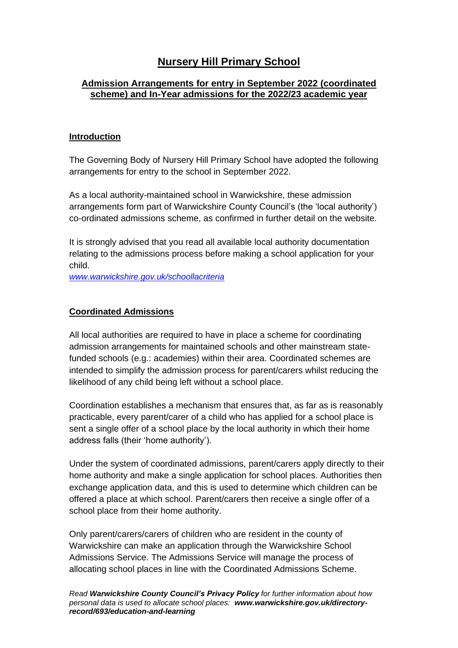# **Nursery Hill Primary School**

# **Admission Arrangements for entry in September 2022 (coordinated scheme) and In-Year admissions for the 2022/23 academic year**

### **Introduction**

The Governing Body of Nursery Hill Primary School have adopted the following arrangements for entry to the school in September 2022.

As a local authority-maintained school in Warwickshire, these admission arrangements form part of Warwickshire County Council's (the 'local authority') co-ordinated admissions scheme, as confirmed in further detail on the website.

It is strongly advised that you read all available local authority documentation relating to the admissions process before making a school application for your child.

*[www.warwickshire.gov.uk/schoollacriteria](http://www.warwickshire.gov.uk/schoollacriteria)*

# **Coordinated Admissions**

All local authorities are required to have in place a scheme for coordinating admission arrangements for maintained schools and other mainstream statefunded schools (e.g.: academies) within their area. Coordinated schemes are intended to simplify the admission process for parent/carers whilst reducing the likelihood of any child being left without a school place.

Coordination establishes a mechanism that ensures that, as far as is reasonably practicable, every parent/carer of a child who has applied for a school place is sent a single offer of a school place by the local authority in which their home address falls (their 'home authority').

Under the system of coordinated admissions, parent/carers apply directly to their home authority and make a single application for school places. Authorities then exchange application data, and this is used to determine which children can be offered a place at which school. Parent/carers then receive a single offer of a school place from their home authority.

Only parent/carers/carers of children who are resident in the county of Warwickshire can make an application through the Warwickshire School Admissions Service. The Admissions Service will manage the process of allocating school places in line with the Coordinated Admissions Scheme.

*Read Warwickshire County Council's Privacy Policy for further information about how personal data is used to allocate school places: www.warwickshire.gov.uk/directoryrecord/693/education-and-learning*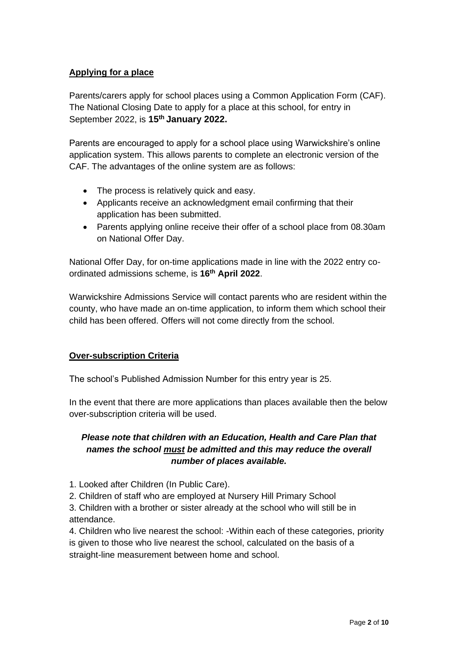# **Applying for a place**

Parents/carers apply for school places using a Common Application Form (CAF). The National Closing Date to apply for a place at this school, for entry in September 2022, is **15th January 2022.**

Parents are encouraged to apply for a school place using Warwickshire's online application system. This allows parents to complete an electronic version of the CAF. The advantages of the online system are as follows:

- The process is relatively quick and easy.
- Applicants receive an acknowledgment email confirming that their application has been submitted.
- Parents applying online receive their offer of a school place from 08.30am on National Offer Day.

National Offer Day, for on-time applications made in line with the 2022 entry coordinated admissions scheme, is **16th April 2022**.

Warwickshire Admissions Service will contact parents who are resident within the county, who have made an on-time application, to inform them which school their child has been offered. Offers will not come directly from the school.

# **Over-subscription Criteria**

The school's Published Admission Number for this entry year is 25.

In the event that there are more applications than places available then the below over-subscription criteria will be used.

# *Please note that children with an Education, Health and Care Plan that names the school must be admitted and this may reduce the overall number of places available.*

- 1. Looked after Children (In Public Care).
- 2. Children of staff who are employed at Nursery Hill Primary School

3. Children with a brother or sister already at the school who will still be in attendance.

4. Children who live nearest the school: -Within each of these categories, priority is given to those who live nearest the school, calculated on the basis of a straight-line measurement between home and school.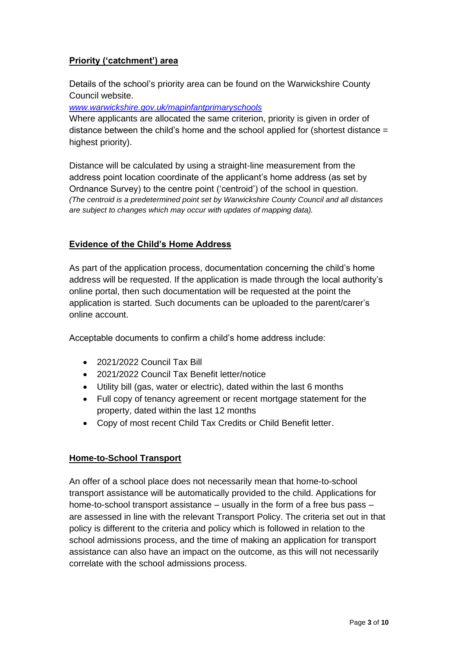# **Priority ('catchment') area**

Details of the school's priority area can be found on the Warwickshire County Council website.

*[www.warwickshire.gov.uk/mapinfantprimaryschools](http://www.warwickshire.gov.uk/mapinfantprimaryschools)*

Where applicants are allocated the same criterion, priority is given in order of distance between the child's home and the school applied for (shortest distance = highest priority).

Distance will be calculated by using a straight-line measurement from the address point location coordinate of the applicant's home address (as set by Ordnance Survey) to the centre point ('centroid') of the school in question. *(The centroid is a predetermined point set by Warwickshire County Council and all distances are subject to changes which may occur with updates of mapping data).*

# **Evidence of the Child's Home Address**

As part of the application process, documentation concerning the child's home address will be requested. If the application is made through the local authority's online portal, then such documentation will be requested at the point the application is started. Such documents can be uploaded to the parent/carer's online account.

Acceptable documents to confirm a child's home address include:

- 2021/2022 Council Tax Bill
- 2021/2022 Council Tax Benefit letter/notice
- Utility bill (gas, water or electric), dated within the last 6 months
- Full copy of tenancy agreement or recent mortgage statement for the property, dated within the last 12 months
- Copy of most recent Child Tax Credits or Child Benefit letter.

# **Home-to-School Transport**

An offer of a school place does not necessarily mean that home-to-school transport assistance will be automatically provided to the child. Applications for home-to-school transport assistance – usually in the form of a free bus pass – are assessed in line with the relevant Transport Policy. The criteria set out in that policy is different to the criteria and policy which is followed in relation to the school admissions process, and the time of making an application for transport assistance can also have an impact on the outcome, as this will not necessarily correlate with the school admissions process.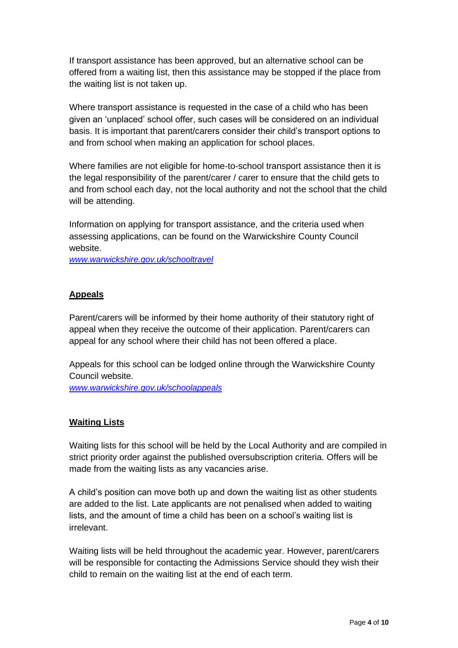If transport assistance has been approved, but an alternative school can be offered from a waiting list, then this assistance may be stopped if the place from the waiting list is not taken up.

Where transport assistance is requested in the case of a child who has been given an 'unplaced' school offer, such cases will be considered on an individual basis. It is important that parent/carers consider their child's transport options to and from school when making an application for school places.

Where families are not eligible for home-to-school transport assistance then it is the legal responsibility of the parent/carer / carer to ensure that the child gets to and from school each day, not the local authority and not the school that the child will be attending.

Information on applying for transport assistance, and the criteria used when assessing applications, can be found on the Warwickshire County Council website.

*[www.warwickshire.gov.uk/schooltravel](http://www.warwickshire.gov.uk/schooltravel)*

### **Appeals**

Parent/carers will be informed by their home authority of their statutory right of appeal when they receive the outcome of their application. Parent/carers can appeal for any school where their child has not been offered a place.

Appeals for this school can be lodged online through the Warwickshire County Council website.

*[www.warwickshire.gov.uk/schoolappeals](http://www.warwickshire.gov.uk/schoolappeals)*

#### **Waiting Lists**

Waiting lists for this school will be held by the Local Authority and are compiled in strict priority order against the published oversubscription criteria. Offers will be made from the waiting lists as any vacancies arise.

A child's position can move both up and down the waiting list as other students are added to the list. Late applicants are not penalised when added to waiting lists, and the amount of time a child has been on a school's waiting list is irrelevant.

Waiting lists will be held throughout the academic year. However, parent/carers will be responsible for contacting the Admissions Service should they wish their child to remain on the waiting list at the end of each term.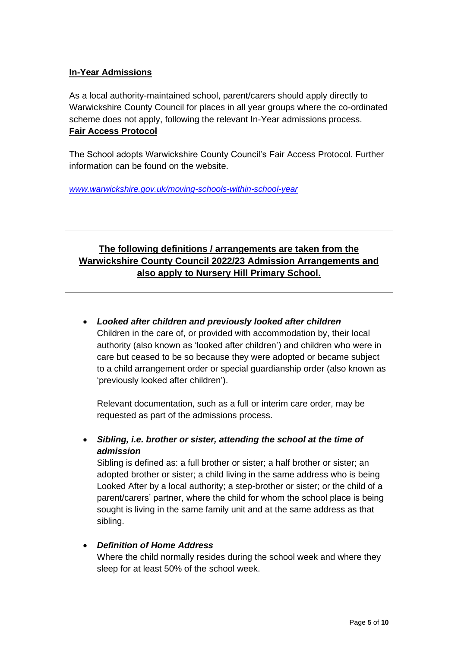# **In-Year Admissions**

As a local authority-maintained school, parent/carers should apply directly to Warwickshire County Council for places in all year groups where the co-ordinated scheme does not apply, following the relevant In-Year admissions process. **Fair Access Protocol**

The School adopts Warwickshire County Council's Fair Access Protocol. Further information can be found on the website.

*[www.warwickshire.gov.uk/moving-schools-within-school-year](http://www.warwickshire.gov.uk/moving-schools-within-school-year)*

# **The following definitions / arrangements are taken from the Warwickshire County Council 2022/23 Admission Arrangements and also apply to Nursery Hill Primary School.**

• *Looked after children and previously looked after children* Children in the care of, or provided with accommodation by, their local authority (also known as 'looked after children') and children who were in care but ceased to be so because they were adopted or became subject to a child arrangement order or special guardianship order (also known as 'previously looked after children').

Relevant documentation, such as a full or interim care order, may be requested as part of the admissions process.

• *Sibling, i.e. brother or sister, attending the school at the time of admission*

Sibling is defined as: a full brother or sister; a half brother or sister; an adopted brother or sister; a child living in the same address who is being Looked After by a local authority; a step-brother or sister; or the child of a parent/carers' partner, where the child for whom the school place is being sought is living in the same family unit and at the same address as that sibling.

# • *Definition of Home Address*

Where the child normally resides during the school week and where they sleep for at least 50% of the school week.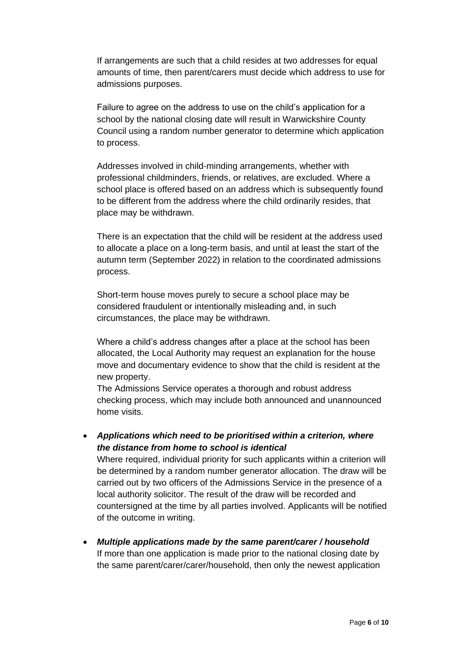If arrangements are such that a child resides at two addresses for equal amounts of time, then parent/carers must decide which address to use for admissions purposes.

Failure to agree on the address to use on the child's application for a school by the national closing date will result in Warwickshire County Council using a random number generator to determine which application to process.

Addresses involved in child-minding arrangements, whether with professional childminders, friends, or relatives, are excluded. Where a school place is offered based on an address which is subsequently found to be different from the address where the child ordinarily resides, that place may be withdrawn.

There is an expectation that the child will be resident at the address used to allocate a place on a long-term basis, and until at least the start of the autumn term (September 2022) in relation to the coordinated admissions process.

Short-term house moves purely to secure a school place may be considered fraudulent or intentionally misleading and, in such circumstances, the place may be withdrawn.

Where a child's address changes after a place at the school has been allocated, the Local Authority may request an explanation for the house move and documentary evidence to show that the child is resident at the new property.

The Admissions Service operates a thorough and robust address checking process, which may include both announced and unannounced home visits.

• *Applications which need to be prioritised within a criterion, where the distance from home to school is identical*

Where required, individual priority for such applicants within a criterion will be determined by a random number generator allocation. The draw will be carried out by two officers of the Admissions Service in the presence of a local authority solicitor. The result of the draw will be recorded and countersigned at the time by all parties involved. Applicants will be notified of the outcome in writing.

• *Multiple applications made by the same parent/carer / household* If more than one application is made prior to the national closing date by the same parent/carer/carer/household, then only the newest application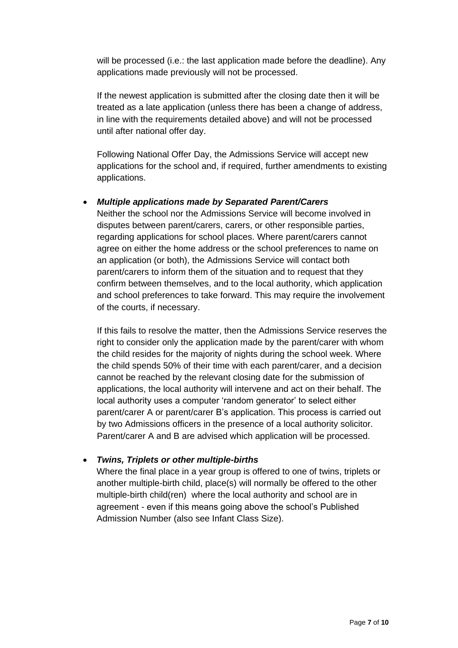will be processed (i.e.: the last application made before the deadline). Any applications made previously will not be processed.

If the newest application is submitted after the closing date then it will be treated as a late application (unless there has been a change of address, in line with the requirements detailed above) and will not be processed until after national offer day.

Following National Offer Day, the Admissions Service will accept new applications for the school and, if required, further amendments to existing applications.

# • *Multiple applications made by Separated Parent/Carers*

Neither the school nor the Admissions Service will become involved in disputes between parent/carers, carers, or other responsible parties, regarding applications for school places. Where parent/carers cannot agree on either the home address or the school preferences to name on an application (or both), the Admissions Service will contact both parent/carers to inform them of the situation and to request that they confirm between themselves, and to the local authority, which application and school preferences to take forward. This may require the involvement of the courts, if necessary.

If this fails to resolve the matter, then the Admissions Service reserves the right to consider only the application made by the parent/carer with whom the child resides for the majority of nights during the school week. Where the child spends 50% of their time with each parent/carer, and a decision cannot be reached by the relevant closing date for the submission of applications, the local authority will intervene and act on their behalf. The local authority uses a computer 'random generator' to select either parent/carer A or parent/carer B's application. This process is carried out by two Admissions officers in the presence of a local authority solicitor. Parent/carer A and B are advised which application will be processed.

# • *Twins, Triplets or other multiple-births*

Where the final place in a year group is offered to one of twins, triplets or another multiple-birth child, place(s) will normally be offered to the other multiple-birth child(ren) where the local authority and school are in agreement - even if this means going above the school's Published Admission Number (also see Infant Class Size).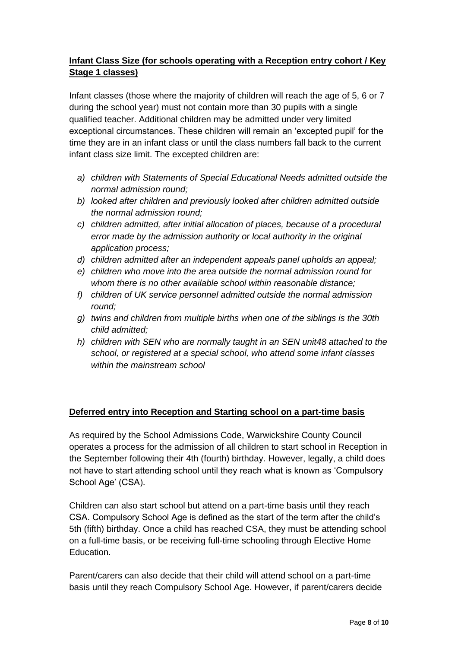# **Infant Class Size (for schools operating with a Reception entry cohort / Key Stage 1 classes)**

Infant classes (those where the majority of children will reach the age of 5, 6 or 7 during the school year) must not contain more than 30 pupils with a single qualified teacher. Additional children may be admitted under very limited exceptional circumstances. These children will remain an 'excepted pupil' for the time they are in an infant class or until the class numbers fall back to the current infant class size limit. The excepted children are:

- *a) children with Statements of Special Educational Needs admitted outside the normal admission round;*
- *b) looked after children and previously looked after children admitted outside the normal admission round;*
- *c) children admitted, after initial allocation of places, because of a procedural error made by the admission authority or local authority in the original application process;*
- *d) children admitted after an independent appeals panel upholds an appeal;*
- *e) children who move into the area outside the normal admission round for whom there is no other available school within reasonable distance;*
- *f) children of UK service personnel admitted outside the normal admission round;*
- *g) twins and children from multiple births when one of the siblings is the 30th child admitted;*
- *h) children with SEN who are normally taught in an SEN unit48 attached to the school, or registered at a special school, who attend some infant classes within the mainstream school*

# **Deferred entry into Reception and Starting school on a part-time basis**

As required by the School Admissions Code, Warwickshire County Council operates a process for the admission of all children to start school in Reception in the September following their 4th (fourth) birthday. However, legally, a child does not have to start attending school until they reach what is known as 'Compulsory School Age' (CSA).

Children can also start school but attend on a part-time basis until they reach CSA. Compulsory School Age is defined as the start of the term after the child's 5th (fifth) birthday. Once a child has reached CSA, they must be attending school on a full-time basis, or be receiving full-time schooling through Elective Home Education.

Parent/carers can also decide that their child will attend school on a part-time basis until they reach Compulsory School Age. However, if parent/carers decide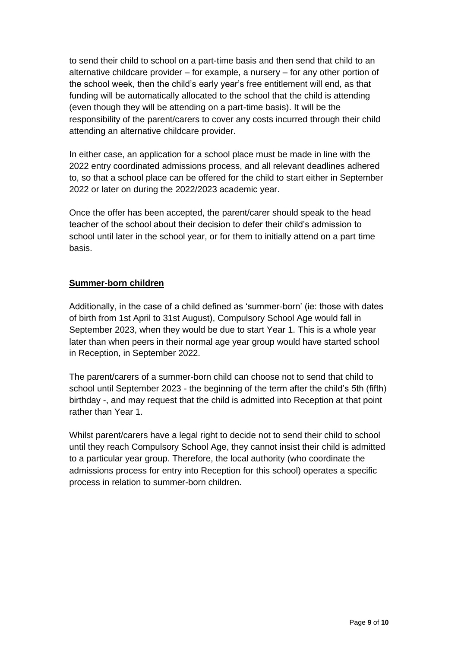to send their child to school on a part-time basis and then send that child to an alternative childcare provider – for example, a nursery – for any other portion of the school week, then the child's early year's free entitlement will end, as that funding will be automatically allocated to the school that the child is attending (even though they will be attending on a part-time basis). It will be the responsibility of the parent/carers to cover any costs incurred through their child attending an alternative childcare provider.

In either case, an application for a school place must be made in line with the 2022 entry coordinated admissions process, and all relevant deadlines adhered to, so that a school place can be offered for the child to start either in September 2022 or later on during the 2022/2023 academic year.

Once the offer has been accepted, the parent/carer should speak to the head teacher of the school about their decision to defer their child's admission to school until later in the school year, or for them to initially attend on a part time basis.

# **Summer-born children**

Additionally, in the case of a child defined as 'summer-born' (ie: those with dates of birth from 1st April to 31st August), Compulsory School Age would fall in September 2023, when they would be due to start Year 1. This is a whole year later than when peers in their normal age year group would have started school in Reception, in September 2022.

The parent/carers of a summer-born child can choose not to send that child to school until September 2023 - the beginning of the term after the child's 5th (fifth) birthday -, and may request that the child is admitted into Reception at that point rather than Year 1.

Whilst parent/carers have a legal right to decide not to send their child to school until they reach Compulsory School Age, they cannot insist their child is admitted to a particular year group. Therefore, the local authority (who coordinate the admissions process for entry into Reception for this school) operates a specific process in relation to summer-born children.